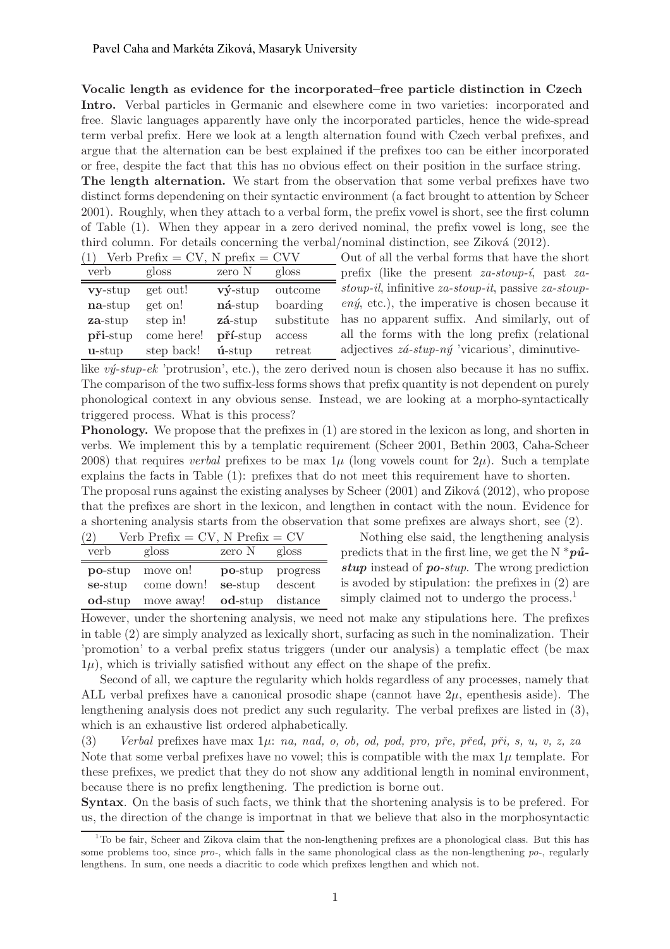Vocalic length as evidence for the incorporated–free particle distinction in Czech

Intro. Verbal particles in Germanic and elsewhere come in two varieties: incorporated and free. Slavic languages apparently have only the incorporated particles, hence the wide-spread term verbal prefix. Here we look at a length alternation found with Czech verbal prefixes, and argue that the alternation can be best explained if the prefixes too can be either incorporated or free, despite the fact that this has no obvious effect on their position in the surface string.

The length alternation. We start from the observation that some verbal prefixes have two distinct forms dependening on their syntactic environment (a fact brought to attention by Scheer 2001). Roughly, when they attach to a verbal form, the prefix vowel is short, see the first column of Table (1). When they appear in a zero derived nominal, the prefix vowel is long, see the third column. For details concerning the verbal/nominal distinction, see Ziková (2012).

| Verb Prefix = $CV$ , N prefix = $CVV$ |            |                     |            |  |
|---------------------------------------|------------|---------------------|------------|--|
| verb                                  | gloss      | zero N              | gloss      |  |
| vy-stup                               | get out!   | $v\mathbf{y}$ -stup | outcome    |  |
| na-stup                               | get on!    | ná-stup             | boarding   |  |
| za-stup                               | step in!   | zá-stup             | substitute |  |
| při-stup                              | come here! | pří-stup            | access     |  |
| $u$ -stup                             | step back! | $\mathbf{u}$ -stup  | retreat    |  |

Out of all the verbal forms that have the short prefix (like the present  $za\text{-}stop\text{-}i$ , past  $za\text{-}$ stoup-il, infinitive za-stoup-it, passive za-stoup $en\acute{y}$ , etc.), the imperative is chosen because it has no apparent suffix. And similarly, out of all the forms with the long prefix (relational adjectives  $z\acute{a}$ -stup-n $\acute{y}$  'vicarious', diminutive-

like  $v\acute{v}$ -stup-ek 'protrusion', etc.), the zero derived noun is chosen also because it has no suffix. The comparison of the two suffix-less forms shows that prefix quantity is not dependent on purely phonological context in any obvious sense. Instead, we are looking at a morpho-syntactically triggered process. What is this process?

Phonology. We propose that the prefixes in (1) are stored in the lexicon as long, and shorten in verbs. We implement this by a templatic requirement (Scheer 2001, Bethin 2003, Caha-Scheer 2008) that requires verbal prefixes to be max  $1\mu$  (long vowels count for  $2\mu$ ). Such a template explains the facts in Table (1): prefixes that do not meet this requirement have to shorten.

The proposal runs against the existing analyses by Scheer  $(2001)$  and Ziková  $(2012)$ , who propose that the prefixes are short in the lexicon, and lengthen in contact with the noun. Evidence for a shortening analysis starts from the observation that some prefixes are always short, see (2).

| Verb Prefix = $CV$ , N Prefix = $CV$<br>(2) |                            |         |          |  |
|---------------------------------------------|----------------------------|---------|----------|--|
| verb                                        | gloss                      | zero N  | gloss    |  |
| $po$ -stup                                  | move on!                   | po-stup | progress |  |
| se-stup                                     | come down!                 | se-stup | descent  |  |
| $od$ -stup                                  | move away! <b>od</b> -stup |         | distance |  |

Nothing else said, the lengthening analysis predicts that in the first line, we get the N  $*_{\mathbf{p}\hat{\mathbf{u}}}\mathbf{a}$ stup instead of po-stup. The wrong prediction is avoded by stipulation: the prefixes in (2) are simply claimed not to undergo the process.<sup>1</sup>

However, under the shortening analysis, we need not make any stipulations here. The prefixes in table (2) are simply analyzed as lexically short, surfacing as such in the nominalization. Their 'promotion' to a verbal prefix status triggers (under our analysis) a templatic effect (be max  $1\mu$ , which is trivially satisfied without any effect on the shape of the prefix.

Second of all, we capture the regularity which holds regardless of any processes, namely that ALL verbal prefixes have a canonical prosodic shape (cannot have  $2\mu$ , epenthesis aside). The lengthening analysis does not predict any such regularity. The verbal prefixes are listed in (3), which is an exhaustive list ordered alphabetically.

(3) Verbal prefixes have max  $1\mu$ : na, nad, o, ob, od, pod, pro, pře, před, při, s, u, v, z, za Note that some verbal prefixes have no vowel; this is compatible with the max  $1\mu$  template. For these prefixes, we predict that they do not show any additional length in nominal environment, because there is no prefix lengthening. The prediction is borne out.

Syntax. On the basis of such facts, we think that the shortening analysis is to be prefered. For us, the direction of the change is importnat in that we believe that also in the morphosyntactic

<sup>&</sup>lt;sup>1</sup>To be fair, Scheer and Zikova claim that the non-lengthening prefixes are a phonological class. But this has some problems too, since pro-, which falls in the same phonological class as the non-lengthening  $po$ -, regularly lengthens. In sum, one needs a diacritic to code which prefixes lengthen and which not.